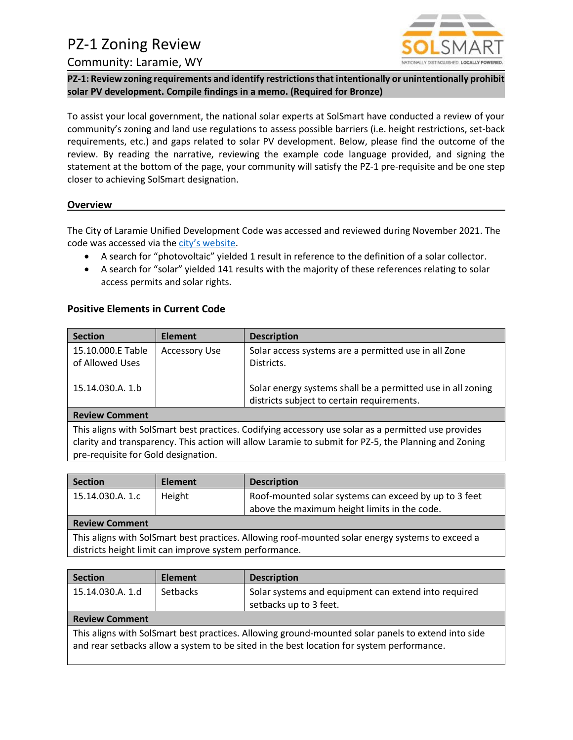# PZ-1 Zoning Review



## Community: Laramie, WY

**PZ-1: Review zoning requirements and identify restrictions that intentionally or unintentionally prohibit solar PV development. Compile findings in a memo. (Required for Bronze)**

To assist your local government, the national solar experts at SolSmart have conducted a review of your community's zoning and land use regulations to assess possible barriers (i.e. height restrictions, set-back requirements, etc.) and gaps related to solar PV development. Below, please find the outcome of the review. By reading the narrative, reviewing the example code language provided, and signing the statement at the bottom of the page, your community will satisfy the PZ-1 pre-requisite and be one step closer to achieving SolSmart designation.

## **Overview**

The City of Laramie Unified Development Code was accessed and reviewed during November 2021. The code was accessed via the [city's website](https://www.cityoflaramie.org/444/Unified-Development-Code).

- A search for "photovoltaic" yielded 1 result in reference to the definition of a solar collector.
- A search for "solar" yielded 141 results with the majority of these references relating to solar access permits and solar rights.

## **Positive Elements in Current Code**

| <b>Section</b>                                                                                                                                                                                                                                     | <b>Element</b>       | <b>Description</b>                                                                                        |
|----------------------------------------------------------------------------------------------------------------------------------------------------------------------------------------------------------------------------------------------------|----------------------|-----------------------------------------------------------------------------------------------------------|
| 15.10.000.E Table<br>of Allowed Uses                                                                                                                                                                                                               | <b>Accessory Use</b> | Solar access systems are a permitted use in all Zone<br>Districts.                                        |
| 15.14.030.A. 1.b                                                                                                                                                                                                                                   |                      | Solar energy systems shall be a permitted use in all zoning<br>districts subject to certain requirements. |
| <b>Review Comment</b>                                                                                                                                                                                                                              |                      |                                                                                                           |
| This aligns with SolSmart best practices. Codifying accessory use solar as a permitted use provides<br>clarity and transparency. This action will allow Laramie to submit for PZ-5, the Planning and Zoning<br>pre-requisite for Gold designation. |                      |                                                                                                           |

| <b>Section</b>                                                                                                                                             | <b>Element</b> | <b>Description</b>                                    |  |
|------------------------------------------------------------------------------------------------------------------------------------------------------------|----------------|-------------------------------------------------------|--|
| 15.14.030.A. 1.c                                                                                                                                           | Height         | Roof-mounted solar systems can exceed by up to 3 feet |  |
|                                                                                                                                                            |                | above the maximum height limits in the code.          |  |
| <b>Review Comment</b>                                                                                                                                      |                |                                                       |  |
| This aligns with SolSmart best practices. Allowing roof-mounted solar energy systems to exceed a<br>districts height limit can improve system performance. |                |                                                       |  |

| <b>Section</b>                                                                                                                                                                                  | <b>Element</b>  | <b>Description</b>                                                             |
|-------------------------------------------------------------------------------------------------------------------------------------------------------------------------------------------------|-----------------|--------------------------------------------------------------------------------|
| 15.14.030.A. 1.d                                                                                                                                                                                | <b>Setbacks</b> | Solar systems and equipment can extend into required<br>setbacks up to 3 feet. |
| <b>Review Comment</b>                                                                                                                                                                           |                 |                                                                                |
| This aligns with SolSmart best practices. Allowing ground-mounted solar panels to extend into side<br>and rear setbacks allow a system to be sited in the best location for system performance. |                 |                                                                                |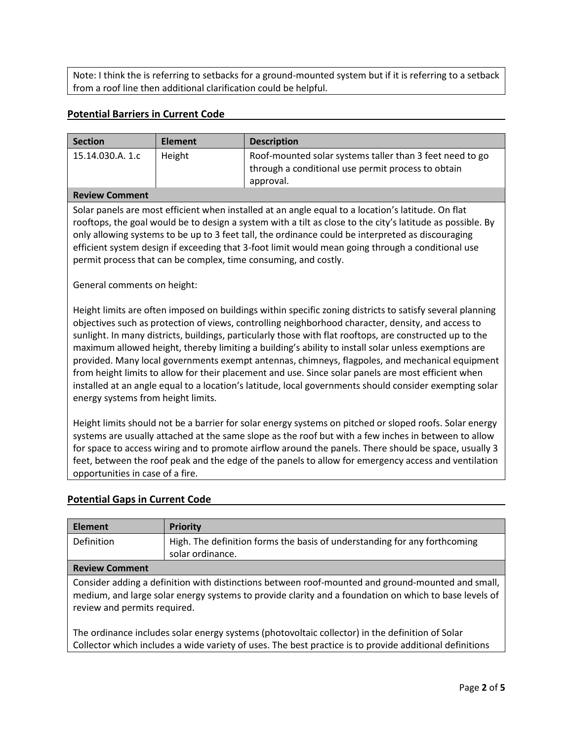Note: I think the is referring to setbacks for a ground-mounted system but if it is referring to a setback from a roof line then additional clarification could be helpful.

## **Potential Barriers in Current Code**

| <b>Section</b>                                                                                                                                                                                                                                                                                                                                                                                                                                                                                                                                                                                                                                                                                                                                                                                 | <b>Element</b>   | <b>Description</b>                                                                                                          |  |  |  |
|------------------------------------------------------------------------------------------------------------------------------------------------------------------------------------------------------------------------------------------------------------------------------------------------------------------------------------------------------------------------------------------------------------------------------------------------------------------------------------------------------------------------------------------------------------------------------------------------------------------------------------------------------------------------------------------------------------------------------------------------------------------------------------------------|------------------|-----------------------------------------------------------------------------------------------------------------------------|--|--|--|
| 15.14.030.A. 1.c                                                                                                                                                                                                                                                                                                                                                                                                                                                                                                                                                                                                                                                                                                                                                                               | Height           | Roof-mounted solar systems taller than 3 feet need to go<br>through a conditional use permit process to obtain<br>approval. |  |  |  |
| <b>Review Comment</b>                                                                                                                                                                                                                                                                                                                                                                                                                                                                                                                                                                                                                                                                                                                                                                          |                  |                                                                                                                             |  |  |  |
| Solar panels are most efficient when installed at an angle equal to a location's latitude. On flat<br>rooftops, the goal would be to design a system with a tilt as close to the city's latitude as possible. By<br>only allowing systems to be up to 3 feet tall, the ordinance could be interpreted as discouraging<br>efficient system design if exceeding that 3-foot limit would mean going through a conditional use<br>permit process that can be complex, time consuming, and costly.<br>General comments on height:                                                                                                                                                                                                                                                                   |                  |                                                                                                                             |  |  |  |
| Height limits are often imposed on buildings within specific zoning districts to satisfy several planning<br>objectives such as protection of views, controlling neighborhood character, density, and access to<br>sunlight. In many districts, buildings, particularly those with flat rooftops, are constructed up to the<br>maximum allowed height, thereby limiting a building's ability to install solar unless exemptions are<br>provided. Many local governments exempt antennas, chimneys, flagpoles, and mechanical equipment<br>from height limits to allow for their placement and use. Since solar panels are most efficient when<br>installed at an angle equal to a location's latitude, local governments should consider exempting solar<br>energy systems from height limits. |                  |                                                                                                                             |  |  |  |
| Height limits should not be a barrier for solar energy systems on pitched or sloped roofs. Solar energy<br>systems are usually attached at the same slope as the roof but with a few inches in between to allow<br>for space to access wiring and to promote airflow around the panels. There should be space, usually 3<br>feet, between the roof peak and the edge of the panels to allow for emergency access and ventilation<br>opportunities in case of a fire.                                                                                                                                                                                                                                                                                                                           |                  |                                                                                                                             |  |  |  |
| <b>Potential Gaps in Current Code</b>                                                                                                                                                                                                                                                                                                                                                                                                                                                                                                                                                                                                                                                                                                                                                          |                  |                                                                                                                             |  |  |  |
|                                                                                                                                                                                                                                                                                                                                                                                                                                                                                                                                                                                                                                                                                                                                                                                                |                  |                                                                                                                             |  |  |  |
| <b>Element</b>                                                                                                                                                                                                                                                                                                                                                                                                                                                                                                                                                                                                                                                                                                                                                                                 | <b>Priority</b>  |                                                                                                                             |  |  |  |
| Definition                                                                                                                                                                                                                                                                                                                                                                                                                                                                                                                                                                                                                                                                                                                                                                                     | solar ordinance. | High. The definition forms the basis of understanding for any forthcoming                                                   |  |  |  |

# **Review Comment**

Consider adding a definition with distinctions between roof-mounted and ground-mounted and small, medium, and large solar energy systems to provide clarity and a foundation on which to base levels of review and permits required.

The ordinance includes solar energy systems (photovoltaic collector) in the definition of Solar Collector which includes a wide variety of uses. The best practice is to provide additional definitions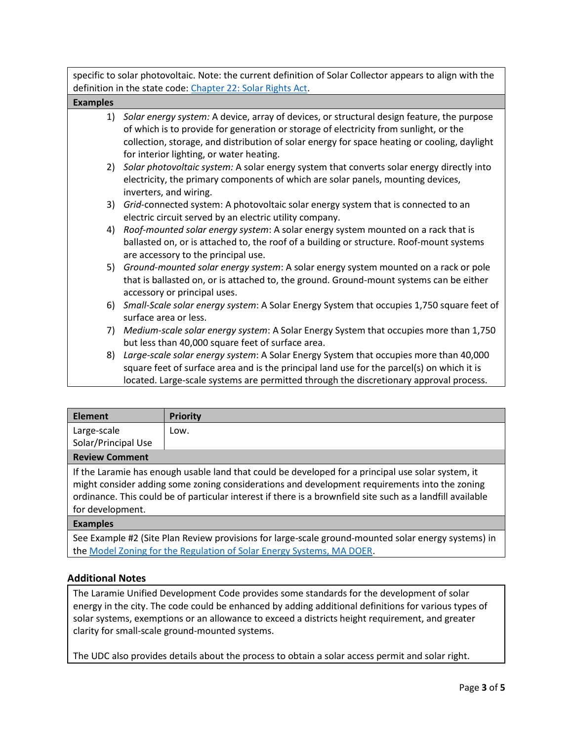specific to solar photovoltaic. Note: the current definition of Solar Collector appears to align with the definition in the state code: [Chapter 22: Solar Rights Act.](https://wyoleg.gov/NXT/gateway.dll/Statutes/2021%20Titles/1956/2000?f=templates&fn=document-frameset.htm&q=%5Brank%3A%5Bsum%3A%5Bstem%3Asolar%5D%5D%5D&x=server&vid=Publish:10.1048/Enu)

| <b>Examples</b> |                                                                                                                                                                                                                   |
|-----------------|-------------------------------------------------------------------------------------------------------------------------------------------------------------------------------------------------------------------|
|                 | 1) Solar energy system: A device, array of devices, or structural design feature, the purpose<br>of which is to provide for generation or storage of electricity from sunlight, or the                            |
|                 | collection, storage, and distribution of solar energy for space heating or cooling, daylight<br>for interior lighting, or water heating.                                                                          |
|                 | 2) Solar photovoltaic system: A solar energy system that converts solar energy directly into<br>electricity, the primary components of which are solar panels, mounting devices,                                  |
|                 | inverters, and wiring.                                                                                                                                                                                            |
| 3)              | Grid-connected system: A photovoltaic solar energy system that is connected to an<br>electric circuit served by an electric utility company.                                                                      |
|                 | 4) Roof-mounted solar energy system: A solar energy system mounted on a rack that is                                                                                                                              |
|                 | ballasted on, or is attached to, the roof of a building or structure. Roof-mount systems<br>are accessory to the principal use.                                                                                   |
|                 | 5) Ground-mounted solar energy system: A solar energy system mounted on a rack or pole<br>that is ballasted on, or is attached to, the ground. Ground-mount systems can be either<br>accessory or principal uses. |
|                 | 6) Small-Scale solar energy system: A Solar Energy System that occupies 1,750 square feet of<br>surface area or less.                                                                                             |
| 7)              | Medium-scale solar energy system: A Solar Energy System that occupies more than 1,750<br>but less than 40,000 square feet of surface area.                                                                        |
|                 | 8) Large-scale solar energy system: A Solar Energy System that occupies more than 40,000<br>square feet of surface area and is the principal land use for the parcel(s) on which it is                            |
|                 | located. Large-scale systems are permitted through the discretionary approval process.                                                                                                                            |

| <b>Element</b>                                                                                                                                                                                                                                                                                                                        | <b>Priority</b>                                                                                           |  |
|---------------------------------------------------------------------------------------------------------------------------------------------------------------------------------------------------------------------------------------------------------------------------------------------------------------------------------------|-----------------------------------------------------------------------------------------------------------|--|
| Large-scale                                                                                                                                                                                                                                                                                                                           | Low.                                                                                                      |  |
| Solar/Principal Use                                                                                                                                                                                                                                                                                                                   |                                                                                                           |  |
| <b>Review Comment</b>                                                                                                                                                                                                                                                                                                                 |                                                                                                           |  |
| If the Laramie has enough usable land that could be developed for a principal use solar system, it<br>might consider adding some zoning considerations and development requirements into the zoning<br>ordinance. This could be of particular interest if there is a brownfield site such as a landfill available<br>for development. |                                                                                                           |  |
| <b>Examples</b>                                                                                                                                                                                                                                                                                                                       |                                                                                                           |  |
|                                                                                                                                                                                                                                                                                                                                       | Can Francula 40 (City Blan Bardari maritalana fan lange aaste married in armited asten an announced the l |  |

See Example #2 (Site Plan Review provisions for large-scale ground-mounted solar energy systems) in th[e Model Zoning for the Regulation of Solar Energy Systems, MA DOER.](https://www.mass.gov/files/documents/2017/10/16/model-solar-zoning.pdf)

# **Additional Notes**

The Laramie Unified Development Code provides some standards for the development of solar energy in the city. The code could be enhanced by adding additional definitions for various types of solar systems, exemptions or an allowance to exceed a districts height requirement, and greater clarity for small-scale ground-mounted systems.

The UDC also provides details about the process to obtain a solar access permit and solar right.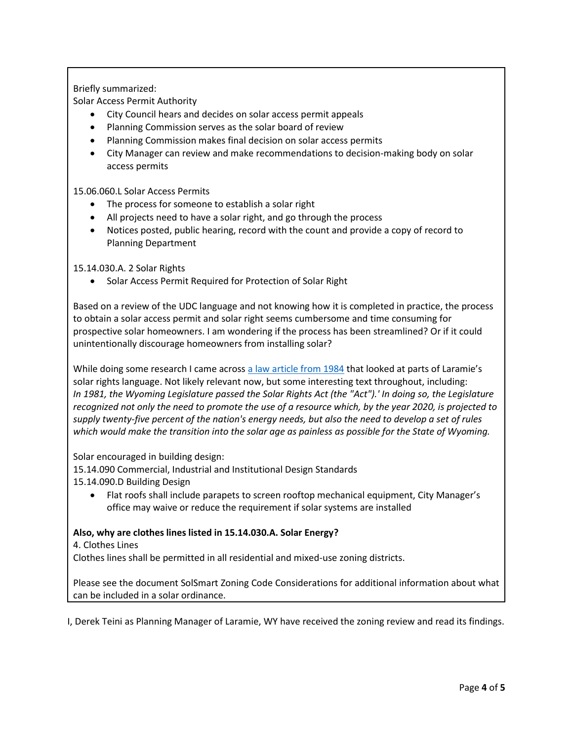## Briefly summarized:

Solar Access Permit Authority

- City Council hears and decides on solar access permit appeals
- Planning Commission serves as the solar board of review
- Planning Commission makes final decision on solar access permits
- City Manager can review and make recommendations to decision-making body on solar access permits

## 15.06.060.L Solar Access Permits

- The process for someone to establish a solar right
- All projects need to have a solar right, and go through the process
- Notices posted, public hearing, record with the count and provide a copy of record to Planning Department

## 15.14.030.A. 2 Solar Rights

• Solar Access Permit Required for Protection of Solar Right

Based on a review of the UDC language and not knowing how it is completed in practice, the process to obtain a solar access permit and solar right seems cumbersome and time consuming for prospective solar homeowners. I am wondering if the process has been streamlined? Or if it could unintentionally discourage homeowners from installing solar?

While doing some research I came across [a law article from 1984](https://scholarship.law.uwyo.edu/cgi/viewcontent.cgi?article=1616&context=land_water) that looked at parts of Laramie's solar rights language. Not likely relevant now, but some interesting text throughout, including: *In 1981, the Wyoming Legislature passed the Solar Rights Act (the "Act").' In doing so, the Legislature recognized not only the need to promote the use of a resource which, by the year 2020, is projected to supply twenty-five percent of the nation's energy needs, but also the need to develop a set of rules which would make the transition into the solar age as painless as possible for the State of Wyoming.*

Solar encouraged in building design:

15.14.090 Commercial, Industrial and Institutional Design Standards

- 15.14.090.D Building Design
	- Flat roofs shall include parapets to screen rooftop mechanical equipment, City Manager's office may waive or reduce the requirement if solar systems are installed

## **Also, why are clothes lines listed in 15.14.030.A. Solar Energy?**

4. Clothes Lines

Clothes lines shall be permitted in all residential and mixed-use zoning districts.

Please see the document SolSmart Zoning Code Considerations for additional information about what can be included in a solar ordinance.

I, Derek Teini as Planning Manager of Laramie, WY have received the zoning review and read its findings.